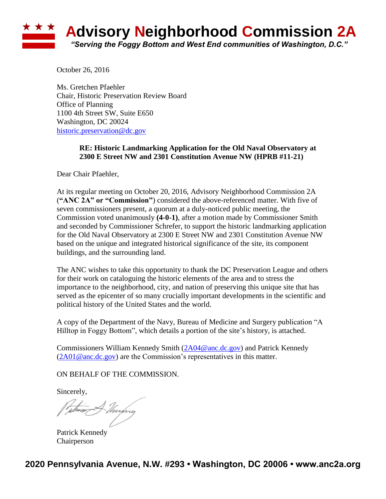## **Advisory Neighborhood Commission 2A** *"Serving the Foggy Bottom and West End communities of Washington, D.C."*

October 26, 2016

Ms. Gretchen Pfaehler Chair, Historic Preservation Review Board Office of Planning 1100 4th Street SW, Suite E650 Washington, DC 20024 [historic.preservation@dc.gov](mailto:historic.preservation@dc.gov)

## **RE: Historic Landmarking Application for the Old Naval Observatory at 2300 E Street NW and 2301 Constitution Avenue NW (HPRB #11-21)**

Dear Chair Pfaehler,

At its regular meeting on October 20, 2016, Advisory Neighborhood Commission 2A (**"ANC 2A" or "Commission"**) considered the above-referenced matter. With five of seven commissioners present, a quorum at a duly-noticed public meeting, the Commission voted unanimously **(4-0-1)**, after a motion made by Commissioner Smith and seconded by Commissioner Schrefer, to support the historic landmarking application for the Old Naval Observatory at 2300 E Street NW and 2301 Constitution Avenue NW based on the unique and integrated historical significance of the site, its component buildings, and the surrounding land.

The ANC wishes to take this opportunity to thank the DC Preservation League and others for their work on cataloguing the historic elements of the area and to stress the importance to the neighborhood, city, and nation of preserving this unique site that has served as the epicenter of so many crucially important developments in the scientific and political history of the United States and the world.

A copy of the Department of the Navy, Bureau of Medicine and Surgery publication "A Hilltop in Foggy Bottom", which details a portion of the site's history, is attached.

Commissioners William Kennedy Smith [\(2A04@anc.dc.gov\)](mailto:2A04@anc.dc.gov) and Patrick Kennedy  $(2A01@anc.de.gov)$  are the Commission's representatives in this matter.

ON BEHALF OF THE COMMISSION.

Sincerely,

Thurping

Patrick Kennedy Chairperson

**2020 Pennsylvania Avenue, N.W. #293 • Washington, DC 20006 • www.anc2a.org**